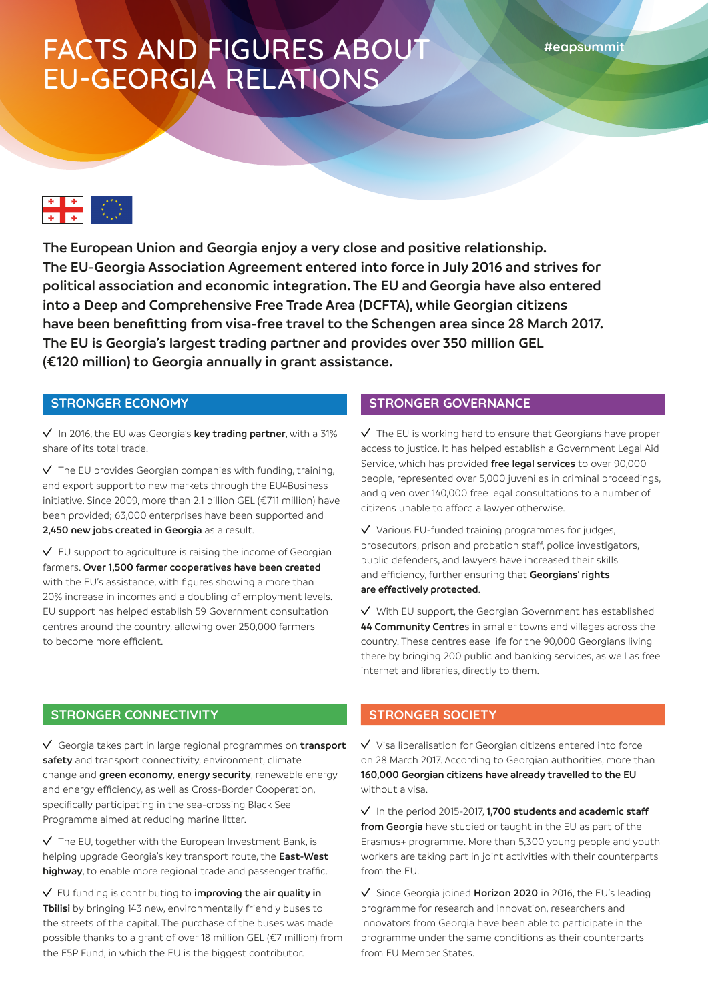# FACTS AND FIGURES ABOUT EU-GEORGIA RELATIONS



**The European Union and Georgia enjoy a very close and positive relationship. The EU-Georgia Association Agreement entered into force in July 2016 and strives for political association and economic integration. The EU and Georgia have also entered into a Deep and Comprehensive Free Trade Area (DCFTA), while Georgian citizens have been benefitting from visa-free travel to the Schengen area since 28 March 2017. The EU is Georgia's largest trading partner and provides over 350 million GEL (€120 million) to Georgia annually in grant assistance.**

#### **STRONGER ECONOMY**

In 2016, the EU was Georgia's **key trading partner**, with a 31% share of its total trade.

 $\sqrt{\ }$  The EU provides Georgian companies with funding, training, and export support to new markets through the EU4Business initiative. Since 2009, more than 2.1 billion GEL (€711 million) have been provided; 63,000 enterprises have been supported and **2,450 new jobs created in Georgia** as a result.

 $\vee$  EU support to agriculture is raising the income of Georgian farmers. **Over 1,500 farmer cooperatives have been created** with the EU's assistance, with figures showing a more than 20% increase in incomes and a doubling of employment levels. EU support has helped establish 59 Government consultation centres around the country, allowing over 250,000 farmers to become more efficient.

#### **STRONGER GOVERNANCE**

 $\sqrt{ }$  The EU is working hard to ensure that Georgians have proper access to justice. It has helped establish a Government Legal Aid Service, which has provided **free legal services** to over 90,000 people, represented over 5,000 juveniles in criminal proceedings, and given over 140,000 free legal consultations to a number of citizens unable to afford a lawyer otherwise.

 $\vee$  Various EU-funded training programmes for judges, prosecutors, prison and probation staff, police investigators, public defenders, and lawyers have increased their skills and efficiency, further ensuring that **Georgians' rights are effectively protected**.

 $\sqrt{ }$  With EU support, the Georgian Government has established **44 Community Centre**s in smaller towns and villages across the country. These centres ease life for the 90,000 Georgians living there by bringing 200 public and banking services, as well as free internet and libraries, directly to them.

#### **STRONGER CONNECTIVITY**

Georgia takes part in large regional programmes on **transport safety** and transport connectivity, environment, climate change and **green economy**, **energy security**, renewable energy and energy efficiency, as well as Cross-Border Cooperation, specifically participating in the sea-crossing Black Sea Programme aimed at reducing marine litter.

 $\sqrt{ }$  The EU, together with the European Investment Bank, is helping upgrade Georgia's key transport route, the **East-West highway**, to enable more regional trade and passenger traffic.

EU funding is contributing to **improving the air quality in Tbilisi** by bringing 143 new, environmentally friendly buses to the streets of the capital. The purchase of the buses was made possible thanks to a grant of over 18 million GEL (€7 million) from the E5P Fund, in which the EU is the biggest contributor.

### **STRONGER SOCIETY**

 $\vee$  Visa liberalisation for Georgian citizens entered into force on 28 March 2017. According to Georgian authorities, more than **160,000 Georgian citizens have already travelled to the EU** without a visa.

In the period 2015-2017, **1,700 students and academic staff from Georgia** have studied or taught in the EU as part of the Erasmus+ programme. More than 5,300 young people and youth workers are taking part in joint activities with their counterparts from the EU.

Since Georgia joined **Horizon 2020** in 2016, the EU's leading programme for research and innovation, researchers and innovators from Georgia have been able to participate in the programme under the same conditions as their counterparts from EU Member States.